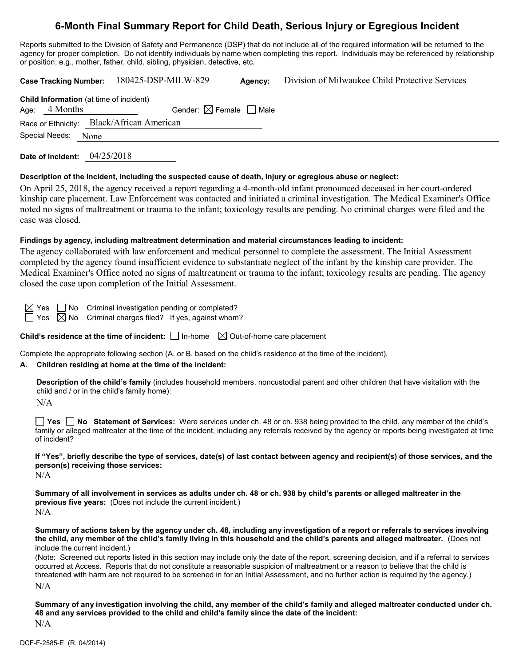# **6-Month Final Summary Report for Child Death, Serious Injury or Egregious Incident**

Reports submitted to the Division of Safety and Permanence (DSP) that do not include all of the required information will be returned to the agency for proper completion. Do not identify individuals by name when completing this report. Individuals may be referenced by relationship or position; e.g., mother, father, child, sibling, physician, detective, etc.

| <b>Case Tracking Number:</b>                                                                                                                                                                                                                                                                                                                                                                                 | 180425-DSP-MILW-829                    | Agency: | Division of Milwaukee Child Protective Services |  |  |  |
|--------------------------------------------------------------------------------------------------------------------------------------------------------------------------------------------------------------------------------------------------------------------------------------------------------------------------------------------------------------------------------------------------------------|----------------------------------------|---------|-------------------------------------------------|--|--|--|
| <b>Child Information</b> (at time of incident)<br>4 Months<br>Age:                                                                                                                                                                                                                                                                                                                                           | Gender: $\boxtimes$ Female $\Box$ Male |         |                                                 |  |  |  |
| Race or Ethnicity: Black/African American                                                                                                                                                                                                                                                                                                                                                                    |                                        |         |                                                 |  |  |  |
| Special Needs:<br>None                                                                                                                                                                                                                                                                                                                                                                                       |                                        |         |                                                 |  |  |  |
| 04/25/2018<br>Date of Incident:                                                                                                                                                                                                                                                                                                                                                                              |                                        |         |                                                 |  |  |  |
| Description of the incident, including the suspected cause of death, injury or egregious abuse or neglect:                                                                                                                                                                                                                                                                                                   |                                        |         |                                                 |  |  |  |
| On April 25, 2018, the agency received a report regarding a 4-month-old infant pronounced deceased in her court-ordered<br>kinship care placement. Law Enforcement was contacted and initiated a criminal investigation. The Medical Examiner's Office<br>noted no signs of maltreatment or trauma to the infant; toxicology results are pending. No criminal charges were filed and the<br>case was closed. |                                        |         |                                                 |  |  |  |
| Findings by agency, including maltreatment determination and material circumstances leading to incident:                                                                                                                                                                                                                                                                                                     |                                        |         |                                                 |  |  |  |
| The agency collaborated with law enforcement and medical personnel to complete the assessment. The Initial Assessment<br>completed by the agency found insufficient evidence to substantiate neglect of the infant by the kinship care provider. The<br>Medical Examiner's Office noted no signs of maltreatment or trauma to the infant; toxicology results are pending. The agency                         |                                        |         |                                                 |  |  |  |

closed the case upon completion of the Initial Assessment.

 $\boxtimes$  Yes  $\Box$  No Criminal investigation pending or completed?

 $\Box$  Yes  $\boxtimes$  No Criminal charges filed? If yes, against whom?

**Child's residence at the time of incident:**  $\Box$  In-home  $\Box$  Out-of-home care placement

Complete the appropriate following section (A. or B. based on the child's residence at the time of the incident).

### **A. Children residing at home at the time of the incident:**

**Description of the child's family** (includes household members, noncustodial parent and other children that have visitation with the child and / or in the child's family home):

 $N/A$ 

**Yes No Statement of Services:** Were services under ch. 48 or ch. 938 being provided to the child, any member of the child's family or alleged maltreater at the time of the incident, including any referrals received by the agency or reports being investigated at time of incident?

**If "Yes", briefly describe the type of services, date(s) of last contact between agency and recipient(s) of those services, and the person(s) receiving those services:**

N/A

**Summary of all involvement in services as adults under ch. 48 or ch. 938 by child's parents or alleged maltreater in the previous five years:** (Does not include the current incident.)  $N/A$ 

**Summary of actions taken by the agency under ch. 48, including any investigation of a report or referrals to services involving the child, any member of the child's family living in this household and the child's parents and alleged maltreater.** (Does not include the current incident.)

(Note: Screened out reports listed in this section may include only the date of the report, screening decision, and if a referral to services occurred at Access. Reports that do not constitute a reasonable suspicion of maltreatment or a reason to believe that the child is threatened with harm are not required to be screened in for an Initial Assessment, and no further action is required by the agency.) N/A

**Summary of any investigation involving the child, any member of the child's family and alleged maltreater conducted under ch. 48 and any services provided to the child and child's family since the date of the incident:**

N/A